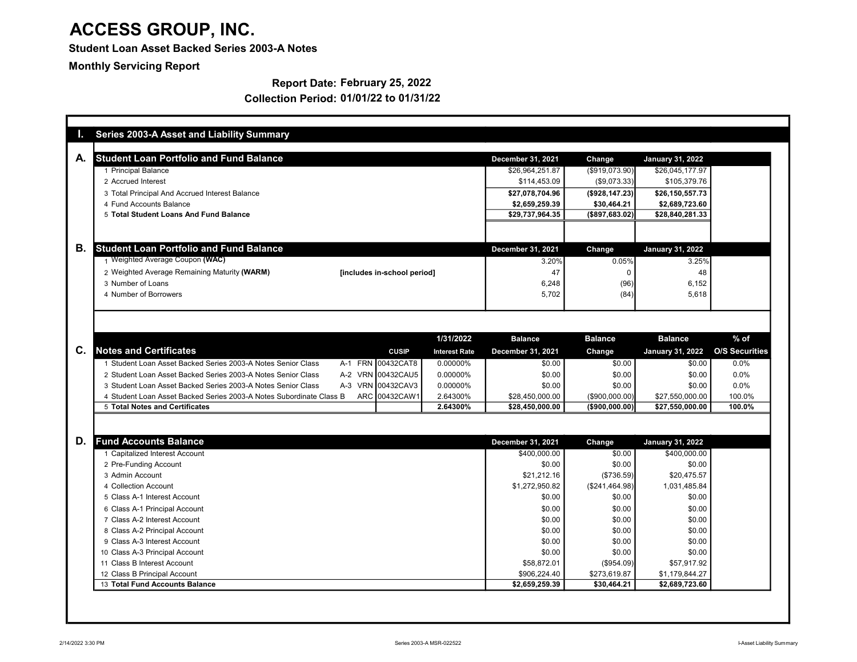### Student Loan Asset Backed Series 2003-A Notes

Monthly Servicing Report

### Report Date: February 25, 2022

| <b>Student Loan Portfolio and Fund Balance</b>                      |       |                             |                      | December 31, 2021 | Change            | <b>January 31, 2022</b> |                       |
|---------------------------------------------------------------------|-------|-----------------------------|----------------------|-------------------|-------------------|-------------------------|-----------------------|
| 1 Principal Balance                                                 |       |                             |                      | \$26,964,251.87   | (\$919,073.90)    | \$26,045,177.97         |                       |
| 2 Accrued Interest                                                  |       |                             |                      | \$114,453.09      | (\$9,073.33)      | \$105,379.76            |                       |
| 3 Total Principal And Accrued Interest Balance                      |       |                             |                      | \$27,078,704.96   | (\$928, 147.23)   | \$26,150,557.73         |                       |
| 4 Fund Accounts Balance                                             |       |                             |                      | \$2,659,259.39    | \$30,464.21       | \$2,689,723.60          |                       |
| 5 Total Student Loans And Fund Balance                              |       |                             |                      | \$29,737,964.35   | ( \$897, 683.02)  | \$28,840,281.33         |                       |
|                                                                     |       |                             |                      |                   |                   |                         |                       |
| <b>Student Loan Portfolio and Fund Balance</b>                      |       |                             |                      | December 31, 2021 | Change            | <b>January 31, 2022</b> |                       |
| 1 Weighted Average Coupon (WAC)                                     |       |                             |                      | 3.20%             | 0.05%             | 3.25%                   |                       |
| 2 Weighted Average Remaining Maturity (WARM)                        |       | [includes in-school period] |                      | 47                | $\mathbf 0$       | 48                      |                       |
| 3 Number of Loans                                                   |       |                             |                      | 6,248             | (96)              | 6,152                   |                       |
| 4 Number of Borrowers                                               |       |                             |                      | 5,702             | (84)              | 5,618                   |                       |
|                                                                     |       |                             |                      |                   |                   |                         |                       |
|                                                                     |       |                             | 1/31/2022            | <b>Balance</b>    | <b>Balance</b>    | <b>Balance</b>          | $%$ of                |
| <b>Notes and Certificates</b>                                       |       | <b>CUSIP</b>                | <b>Interest Rate</b> | December 31, 2021 | Change            | <b>January 31, 2022</b> | <b>O/S Securities</b> |
| 1 Student Loan Asset Backed Series 2003-A Notes Senior Class        |       | A-1 FRN 00432CAT8           | 0.00000%             | \$0.00            | \$0.00            | \$0.00                  | 0.0%                  |
| 2 Student Loan Asset Backed Series 2003-A Notes Senior Class        |       | A-2 VRN 00432CAU5           | 0.00000%             | \$0.00            | \$0.00            | \$0.00                  | 0.0%                  |
| 3 Student Loan Asset Backed Series 2003-A Notes Senior Class        | $A-3$ | VRN 00432CAV3               | 0.00000%             | \$0.00            | \$0.00            | \$0.00                  | 0.0%                  |
| 4 Student Loan Asset Backed Series 2003-A Notes Subordinate Class B |       | ARC 00432CAW1               | 2.64300%             | \$28,450,000.00   | $($ \$900.000.00) | \$27,550,000.00         | 100.0%                |
| 5 Total Notes and Certificates                                      |       |                             | 2.64300%             | \$28,450,000.00   | $($ \$900,000.00) | \$27,550,000.00         | 100.0%                |
| <b>Fund Accounts Balance</b>                                        |       |                             |                      | December 31, 2021 | Change            | January 31, 2022        |                       |
| 1 Capitalized Interest Account                                      |       |                             |                      | \$400,000.00      | \$0.00            | \$400,000.00            |                       |
| 2 Pre-Funding Account                                               |       |                             |                      | \$0.00            | \$0.00            | \$0.00                  |                       |
| 3 Admin Account                                                     |       |                             |                      | \$21.212.16       | (\$736.59)        | \$20,475.57             |                       |
| 4 Collection Account                                                |       |                             |                      | \$1,272,950.82    | (\$241,464.98)    | 1,031,485.84            |                       |
| 5 Class A-1 Interest Account                                        |       |                             |                      | \$0.00            | \$0.00            | \$0.00                  |                       |
| 6 Class A-1 Principal Account                                       |       |                             |                      | \$0.00            | \$0.00            | \$0.00                  |                       |
| 7 Class A-2 Interest Account                                        |       |                             |                      | \$0.00            | \$0.00            | \$0.00                  |                       |
| 8 Class A-2 Principal Account                                       |       |                             |                      | \$0.00            | \$0.00            | \$0.00                  |                       |
| 9 Class A-3 Interest Account                                        |       |                             |                      | \$0.00            | \$0.00            | \$0.00                  |                       |
| 10 Class A-3 Principal Account                                      |       |                             |                      | \$0.00            | \$0.00            | \$0.00                  |                       |
| 11 Class B Interest Account                                         |       |                             |                      | \$58,872.01       | (\$954.09)        | \$57,917.92             |                       |
| 12 Class B Principal Account                                        |       |                             |                      | \$906,224.40      | \$273,619.87      | \$1,179,844.27          |                       |
| 13 Total Fund Accounts Balance                                      |       |                             |                      | \$2,659,259.39    | \$30,464.21       | \$2,689,723.60          |                       |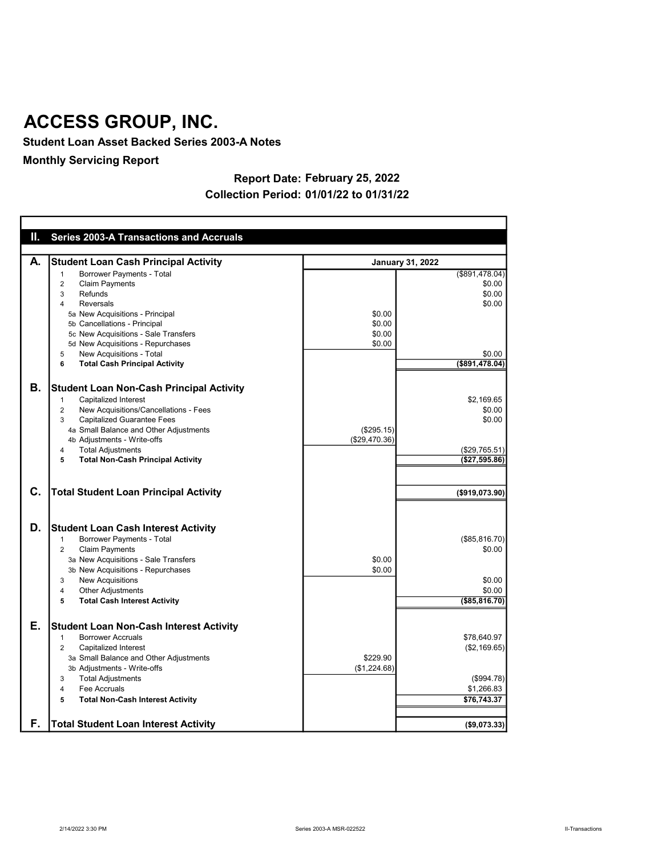Student Loan Asset Backed Series 2003-A Notes

Monthly Servicing Report

### Report Date: February 25, 2022 Collection Period: 01/01/22 to 01/31/22

| Ш. | <b>Series 2003-A Transactions and Accruals</b>                              |               |                         |
|----|-----------------------------------------------------------------------------|---------------|-------------------------|
|    |                                                                             |               |                         |
| А. | <b>Student Loan Cash Principal Activity</b>                                 |               | <b>January 31, 2022</b> |
|    | Borrower Payments - Total<br>$\mathbf{1}$                                   |               | (\$891,478.04)          |
|    | $\overline{2}$<br><b>Claim Payments</b><br>3<br>Refunds                     |               | \$0.00<br>\$0.00        |
|    | $\overline{\mathbf{4}}$<br>Reversals                                        |               | \$0.00                  |
|    | 5a New Acquisitions - Principal                                             | \$0.00        |                         |
|    | 5b Cancellations - Principal                                                | \$0.00        |                         |
|    | 5c New Acquisitions - Sale Transfers                                        | \$0.00        |                         |
|    | 5d New Acquisitions - Repurchases                                           | \$0.00        |                         |
|    | New Acquisitions - Total<br>5                                               |               | \$0.00                  |
|    | 6<br><b>Total Cash Principal Activity</b>                                   |               | (\$891.478.04)          |
|    |                                                                             |               |                         |
| В. | <b>Student Loan Non-Cash Principal Activity</b>                             |               |                         |
|    | Capitalized Interest<br>$\mathbf{1}$                                        |               | \$2,169.65              |
|    | New Acquisitions/Cancellations - Fees<br>$\overline{2}$<br>3                |               | \$0.00<br>\$0.00        |
|    | <b>Capitalized Guarantee Fees</b><br>4a Small Balance and Other Adjustments | (\$295.15)    |                         |
|    | 4b Adjustments - Write-offs                                                 | (\$29,470.36) |                         |
|    | $\overline{4}$<br><b>Total Adjustments</b>                                  |               | (\$29,765.51)           |
|    | <b>Total Non-Cash Principal Activity</b><br>5                               |               | (\$27,595.86)           |
|    |                                                                             |               |                         |
| С. | <b>Total Student Loan Principal Activity</b>                                |               | (\$919,073.90)          |
| D. | <b>Student Loan Cash Interest Activity</b>                                  |               |                         |
|    | $\mathbf{1}$<br>Borrower Payments - Total                                   |               | (\$85, 816.70)          |
|    | $\overline{2}$<br><b>Claim Payments</b>                                     |               | \$0.00                  |
|    | 3a New Acquisitions - Sale Transfers                                        | \$0.00        |                         |
|    | 3b New Acquisitions - Repurchases                                           | \$0.00        |                         |
|    | <b>New Acquisitions</b><br>3                                                |               | \$0.00                  |
|    | $\overline{\mathbf{4}}$<br><b>Other Adjustments</b>                         |               | \$0.00                  |
|    | <b>Total Cash Interest Activity</b><br>5                                    |               | (\$85, 816.70)          |
| Е. | <b>Student Loan Non-Cash Interest Activity</b>                              |               |                         |
|    | <b>Borrower Accruals</b><br>$\mathbf{1}$                                    |               | \$78,640.97             |
|    | $\overline{2}$<br>Capitalized Interest                                      |               | (\$2,169.65)            |
|    | 3a Small Balance and Other Adjustments                                      | \$229.90      |                         |
|    | 3b Adjustments - Write-offs                                                 | (\$1,224.68)  |                         |
|    | <b>Total Adjustments</b><br>3                                               |               | (\$994.78)              |
|    | $\overline{\mathbf{4}}$<br>Fee Accruals                                     |               | \$1,266.83              |
|    | 5<br><b>Total Non-Cash Interest Activity</b>                                |               | \$76,743.37             |
| F. | <b>Total Student Loan Interest Activity</b>                                 |               | (\$9,073.33)            |
|    |                                                                             |               |                         |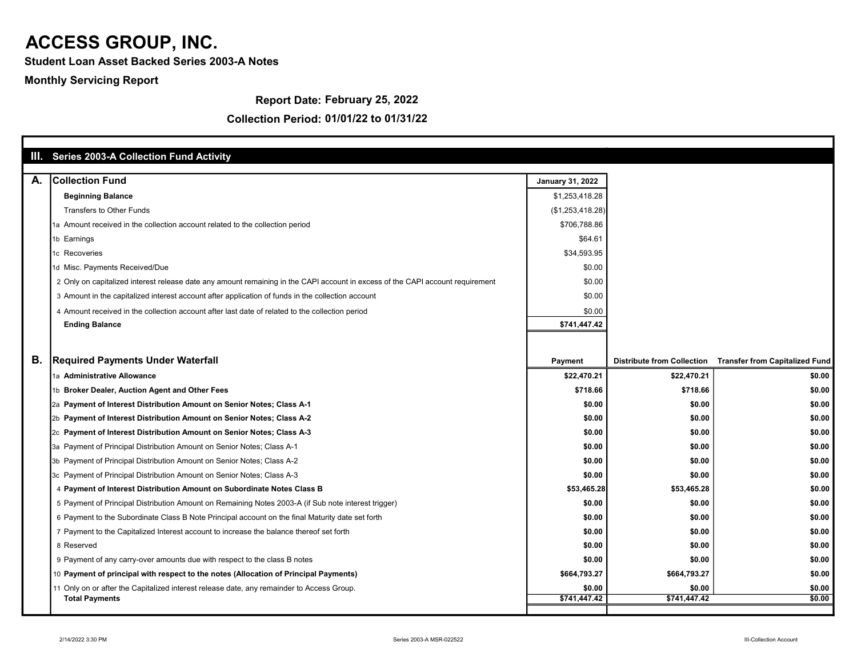Student Loan Asset Backed Series 2003-A Notes

Monthly Servicing Report

Report Date: February 25, 2022

|    | III. Series 2003-A Collection Fund Activity                                                                                    |                  |              |                                                           |
|----|--------------------------------------------------------------------------------------------------------------------------------|------------------|--------------|-----------------------------------------------------------|
| А. | <b>Collection Fund</b>                                                                                                         | January 31, 2022 |              |                                                           |
|    | <b>Beginning Balance</b>                                                                                                       | \$1,253,418.28   |              |                                                           |
|    | <b>Transfers to Other Funds</b>                                                                                                | (\$1,253,418.28) |              |                                                           |
|    | 1a Amount received in the collection account related to the collection period                                                  | \$706,788.86     |              |                                                           |
|    | 1b Earnings                                                                                                                    | \$64.61          |              |                                                           |
|    | 1c Recoveries                                                                                                                  | \$34,593.95      |              |                                                           |
|    | 1d Misc. Payments Received/Due                                                                                                 | \$0.00           |              |                                                           |
|    | 2 Only on capitalized interest release date any amount remaining in the CAPI account in excess of the CAPI account requirement | \$0.00           |              |                                                           |
|    | 3 Amount in the capitalized interest account after application of funds in the collection account                              | \$0.00           |              |                                                           |
|    | 4 Amount received in the collection account after last date of related to the collection period                                | \$0.00           |              |                                                           |
|    | <b>Ending Balance</b>                                                                                                          | \$741,447.42     |              |                                                           |
|    |                                                                                                                                |                  |              |                                                           |
| В. | <b>Required Payments Under Waterfall</b>                                                                                       | Payment          |              | Distribute from Collection Transfer from Capitalized Fund |
|    | 1a Administrative Allowance                                                                                                    | \$22,470.21      | \$22,470.21  | \$0.00                                                    |
|    | 1b Broker Dealer, Auction Agent and Other Fees                                                                                 | \$718.66         | \$718.66     | \$0.00                                                    |
|    | 2a Payment of Interest Distribution Amount on Senior Notes; Class A-1                                                          | \$0.00           | \$0.00       | \$0.00                                                    |
|    | 2b Payment of Interest Distribution Amount on Senior Notes; Class A-2                                                          | \$0.00           | \$0.00       | \$0.00                                                    |
|    | 2c Payment of Interest Distribution Amount on Senior Notes; Class A-3                                                          | \$0.00           | \$0.00       | \$0.00                                                    |
|    | 3a Payment of Principal Distribution Amount on Senior Notes; Class A-1                                                         | \$0.00           | \$0.00       | \$0.00                                                    |
|    | 3b Payment of Principal Distribution Amount on Senior Notes; Class A-2                                                         | \$0.00           | \$0.00       | \$0.00                                                    |
|    | 3c Payment of Principal Distribution Amount on Senior Notes; Class A-3                                                         | \$0.00           | \$0.00       | \$0.00                                                    |
|    | 4 Payment of Interest Distribution Amount on Subordinate Notes Class B                                                         | \$53,465.28      | \$53,465.28  | \$0.00                                                    |
|    | 5 Payment of Principal Distribution Amount on Remaining Notes 2003-A (if Sub note interest trigger)                            | \$0.00           | \$0.00       | \$0.00                                                    |
|    | 6 Payment to the Subordinate Class B Note Principal account on the final Maturity date set forth                               | \$0.00           | \$0.00       | \$0.00                                                    |
|    | 7 Payment to the Capitalized Interest account to increase the balance thereof set forth                                        | \$0.00           | \$0.00       | \$0.00                                                    |
|    | 8 Reserved                                                                                                                     | \$0.00           | \$0.00       | \$0.00                                                    |
|    | 9 Payment of any carry-over amounts due with respect to the class B notes                                                      | \$0.00           | \$0.00       | \$0.00                                                    |
|    | 10 Payment of principal with respect to the notes (Allocation of Principal Payments)                                           | \$664,793.27     | \$664,793.27 | \$0.00                                                    |
|    | 11 Only on or after the Capitalized interest release date, any remainder to Access Group.                                      | \$0.00           | \$0.00       | \$0.00                                                    |
|    | <b>Total Payments</b>                                                                                                          | \$741,447.42     | \$741.447.42 | \$0.00                                                    |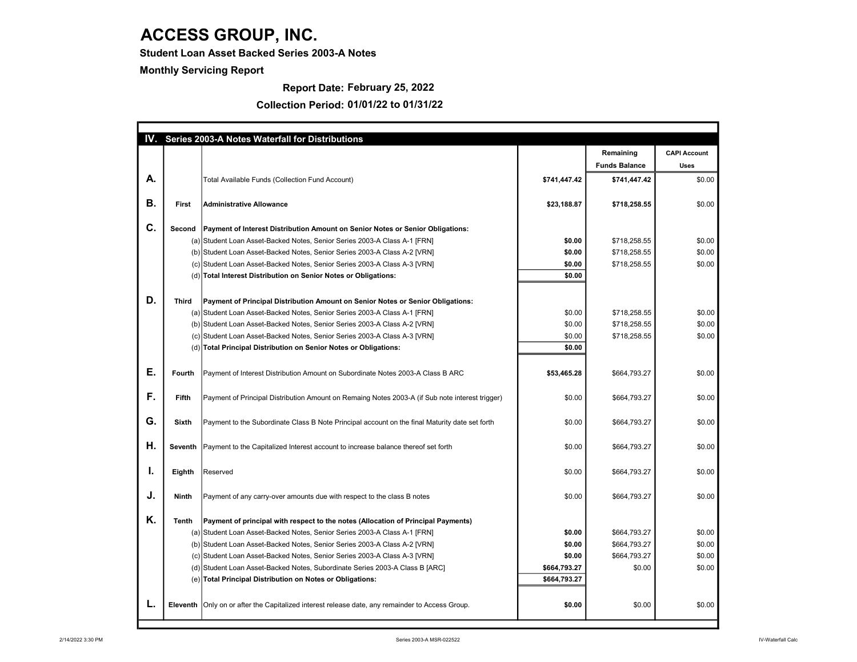Student Loan Asset Backed Series 2003-A Notes

Monthly Servicing Report

#### Report Date: February 25, 2022

|    |                |                                                                                                   |                  | Remaining            | <b>CAPI Account</b> |
|----|----------------|---------------------------------------------------------------------------------------------------|------------------|----------------------|---------------------|
|    |                |                                                                                                   |                  | <b>Funds Balance</b> | <b>Uses</b>         |
| А. |                | Total Available Funds (Collection Fund Account)                                                   | \$741,447.42     | \$741,447.42         | \$0.00              |
| В. | First          | <b>Administrative Allowance</b>                                                                   | \$23,188.87      | \$718,258.55         | \$0.00              |
| C. | Second         | Payment of Interest Distribution Amount on Senior Notes or Senior Obligations:                    |                  |                      |                     |
|    |                | (a) Student Loan Asset-Backed Notes, Senior Series 2003-A Class A-1 [FRN]                         | \$0.00           | \$718,258.55         | \$0.00              |
|    |                | (b) Student Loan Asset-Backed Notes, Senior Series 2003-A Class A-2 [VRN]                         | \$0.00           | \$718,258.55         | \$0.00              |
|    |                | (c) Student Loan Asset-Backed Notes, Senior Series 2003-A Class A-3 [VRN]                         | \$0.00           | \$718,258.55         | \$0.00              |
|    |                | (d) Total Interest Distribution on Senior Notes or Obligations:                                   | \$0.00           |                      |                     |
| D. | <b>Third</b>   |                                                                                                   |                  |                      |                     |
|    |                | Payment of Principal Distribution Amount on Senior Notes or Senior Obligations:                   | \$0.00           |                      | \$0.00              |
|    |                | (a) Student Loan Asset-Backed Notes, Senior Series 2003-A Class A-1 [FRN]                         | \$0.00           | \$718,258.55         | \$0.00              |
|    |                | (b) Student Loan Asset-Backed Notes, Senior Series 2003-A Class A-2 [VRN]                         |                  | \$718,258.55         |                     |
|    |                | (c) Student Loan Asset-Backed Notes, Senior Series 2003-A Class A-3 [VRN]                         | \$0.00<br>\$0.00 | \$718,258.55         | \$0.00              |
|    |                | (d) Total Principal Distribution on Senior Notes or Obligations:                                  |                  |                      |                     |
| Ε. | Fourth         | Payment of Interest Distribution Amount on Subordinate Notes 2003-A Class B ARC                   | \$53,465.28      | \$664,793.27         | \$0.00              |
| F. | Fifth          | Payment of Principal Distribution Amount on Remaing Notes 2003-A (if Sub note interest trigger)   | \$0.00           | \$664,793.27         | \$0.00              |
| G. | <b>Sixth</b>   | Payment to the Subordinate Class B Note Principal account on the final Maturity date set forth    | \$0.00           | \$664,793.27         | \$0.00              |
| Η. | <b>Seventh</b> | Payment to the Capitalized Interest account to increase balance thereof set forth                 | \$0.00           | \$664,793.27         | \$0.00              |
| ı. | Eighth         | Reserved                                                                                          | \$0.00           | \$664,793.27         | \$0.00              |
| J. | Ninth          | Payment of any carry-over amounts due with respect to the class B notes                           | \$0.00           | \$664,793.27         | \$0.00              |
| Κ. | <b>Tenth</b>   | Payment of principal with respect to the notes (Allocation of Principal Payments)                 |                  |                      |                     |
|    |                | (a) Student Loan Asset-Backed Notes, Senior Series 2003-A Class A-1 [FRN]                         | \$0.00           | \$664,793.27         | \$0.00              |
|    |                | (b) Student Loan Asset-Backed Notes, Senior Series 2003-A Class A-2 [VRN]                         | \$0.00           | \$664,793.27         | \$0.00              |
|    |                | (c) Student Loan Asset-Backed Notes, Senior Series 2003-A Class A-3 [VRN]                         | \$0.00           | \$664,793.27         | \$0.00              |
|    |                | (d) Student Loan Asset-Backed Notes, Subordinate Series 2003-A Class B [ARC]                      | \$664,793.27     | \$0.00               | \$0.00              |
|    |                | (e) Total Principal Distribution on Notes or Obligations:                                         | \$664,793.27     |                      |                     |
| L. |                | Eleventh   Only on or after the Capitalized interest release date, any remainder to Access Group. | \$0.00           | \$0.00               | \$0.00              |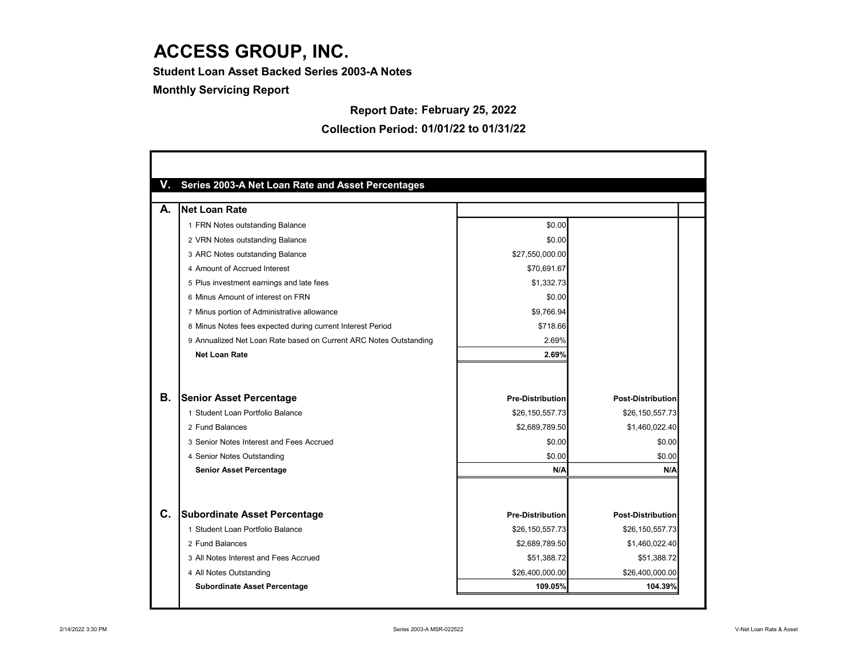Student Loan Asset Backed Series 2003-A Notes

Monthly Servicing Report

Report Date: February 25, 2022

| Series 2003-A Net Loan Rate and Asset Percentages                 |                         |                          |
|-------------------------------------------------------------------|-------------------------|--------------------------|
| Net Loan Rate<br>А.                                               |                         |                          |
| 1 FRN Notes outstanding Balance                                   | \$0.00                  |                          |
| 2 VRN Notes outstanding Balance                                   | \$0.00                  |                          |
| 3 ARC Notes outstanding Balance                                   | \$27,550,000.00         |                          |
| 4 Amount of Accrued Interest                                      | \$70,691.67             |                          |
| 5 Plus investment earnings and late fees                          | \$1,332.73              |                          |
| 6 Minus Amount of interest on FRN                                 | \$0.00                  |                          |
| 7 Minus portion of Administrative allowance                       | \$9,766.94              |                          |
| 8 Minus Notes fees expected during current Interest Period        | \$718.66                |                          |
| 9 Annualized Net Loan Rate based on Current ARC Notes Outstanding | 2.69%                   |                          |
| <b>Net Loan Rate</b>                                              | 2.69%                   |                          |
| В.<br><b>Senior Asset Percentage</b>                              | <b>Pre-Distribution</b> | <b>Post-Distribution</b> |
| 1 Student Loan Portfolio Balance                                  | \$26,150,557.73         | \$26,150,557.73          |
| 2 Fund Balances                                                   | \$2,689,789.50          | \$1,460,022.40           |
| 3 Senior Notes Interest and Fees Accrued                          | \$0.00                  | \$0.00                   |
| 4 Senior Notes Outstanding                                        | \$0.00                  | \$0.00                   |
| <b>Senior Asset Percentage</b>                                    | N/A                     | N/A                      |
|                                                                   |                         |                          |
| C.<br><b>Subordinate Asset Percentage</b>                         | <b>Pre-Distribution</b> | <b>Post-Distribution</b> |
| 1 Student Loan Portfolio Balance                                  | \$26,150,557.73         | \$26,150,557.73          |
| 2 Fund Balances                                                   | \$2,689,789.50          | \$1,460,022.40           |
| 3 All Notes Interest and Fees Accrued                             | \$51,388.72             | \$51,388.72              |
| 4 All Notes Outstanding                                           | \$26,400,000.00         | \$26,400,000.00          |
| <b>Subordinate Asset Percentage</b>                               | 109.05%                 | 104.39%                  |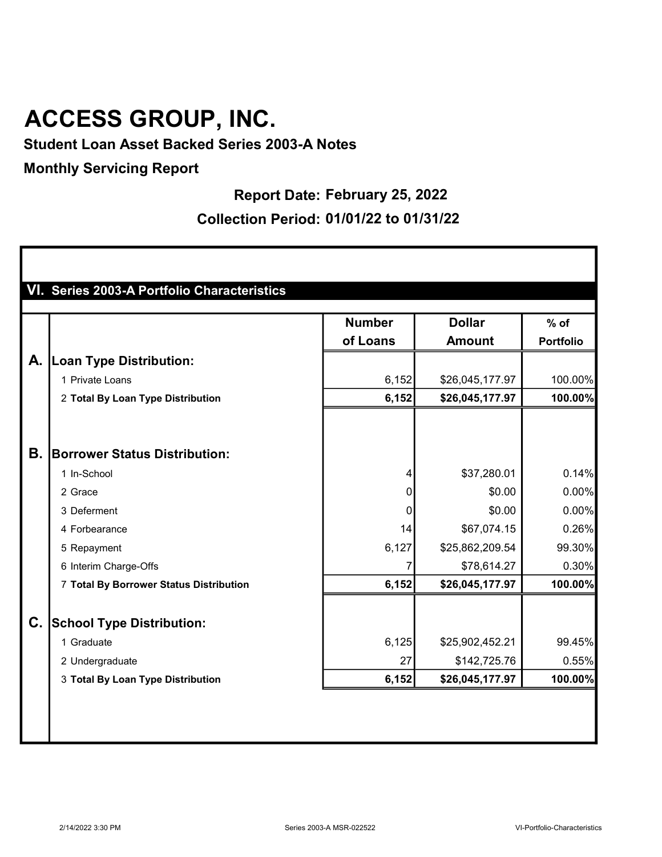Student Loan Asset Backed Series 2003-A Notes

## Monthly Servicing Report

## Report Date: February 25, 2022

|    |                                         | <b>Number</b> | <b>Dollar</b>   | $%$ of           |
|----|-----------------------------------------|---------------|-----------------|------------------|
|    |                                         | of Loans      | <b>Amount</b>   | <b>Portfolio</b> |
| А. | <b>Loan Type Distribution:</b>          |               |                 |                  |
|    | 1 Private Loans                         | 6,152         | \$26,045,177.97 | 100.00%          |
|    | 2 Total By Loan Type Distribution       | 6,152         | \$26,045,177.97 | 100.00%          |
|    |                                         |               |                 |                  |
| В. | <b>Borrower Status Distribution:</b>    |               |                 |                  |
|    | 1 In-School                             | 4             | \$37,280.01     | 0.14%            |
|    | 2 Grace                                 | 0             | \$0.00          | 0.00%            |
|    | 3 Deferment                             | $\mathbf{0}$  | \$0.00          | 0.00%            |
|    | 4 Forbearance                           | 14            | \$67,074.15     | 0.26%            |
|    | 5 Repayment                             | 6,127         | \$25,862,209.54 | 99.30%           |
|    | 6 Interim Charge-Offs                   | 7             | \$78,614.27     | 0.30%            |
|    | 7 Total By Borrower Status Distribution | 6,152         | \$26,045,177.97 | 100.00%          |
| C. | <b>School Type Distribution:</b>        |               |                 |                  |
|    | 1 Graduate                              | 6,125         | \$25,902,452.21 | 99.45%           |
|    | 2 Undergraduate                         | 27            | \$142,725.76    | 0.55%            |
|    | 3 Total By Loan Type Distribution       | 6,152         | \$26,045,177.97 | 100.00%          |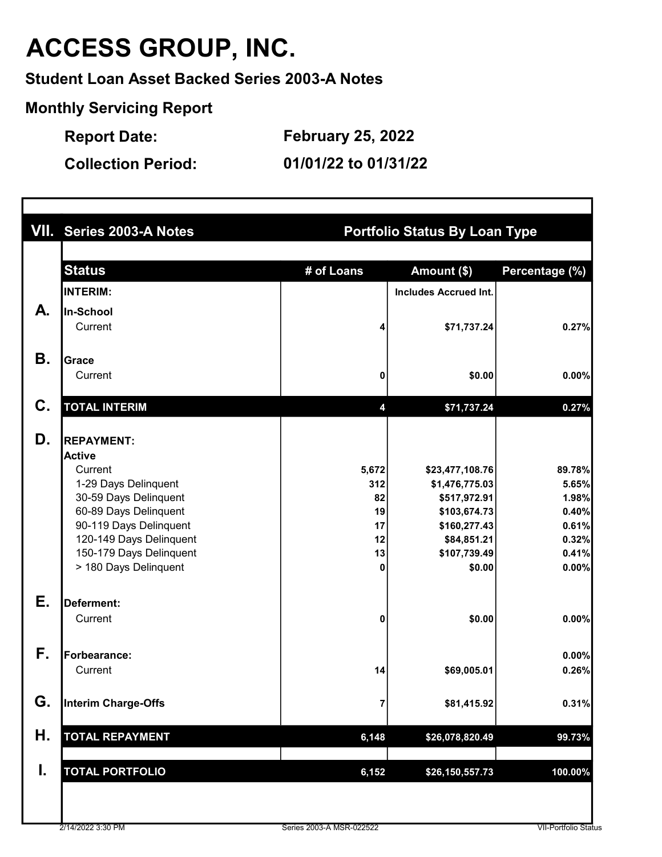Student Loan Asset Backed Series 2003-A Notes

Monthly Servicing Report

Report Date: February 25, 2022

|    | VII. Series 2003-A Notes<br><b>Portfolio Status By Loan Type</b> |              |                                   |                |  |  |  |  |
|----|------------------------------------------------------------------|--------------|-----------------------------------|----------------|--|--|--|--|
|    | <b>Status</b>                                                    | # of Loans   | Amount (\$)                       | Percentage (%) |  |  |  |  |
|    |                                                                  |              |                                   |                |  |  |  |  |
|    | <b>INTERIM:</b>                                                  |              | <b>Includes Accrued Int.</b>      |                |  |  |  |  |
| А. | In-School                                                        |              |                                   |                |  |  |  |  |
|    | Current                                                          | 4            | \$71,737.24                       | 0.27%          |  |  |  |  |
| Β. | Grace                                                            |              |                                   |                |  |  |  |  |
|    | Current                                                          | 0            | \$0.00                            | 0.00%          |  |  |  |  |
| C. | <b>TOTAL INTERIM</b>                                             | 4            | \$71,737.24                       | 0.27%          |  |  |  |  |
|    |                                                                  |              |                                   |                |  |  |  |  |
| D. | <b>REPAYMENT:</b>                                                |              |                                   |                |  |  |  |  |
|    | <b>Active</b><br>Current                                         |              |                                   | 89.78%         |  |  |  |  |
|    | 1-29 Days Delinquent                                             | 5,672<br>312 | \$23,477,108.76<br>\$1,476,775.03 | 5.65%          |  |  |  |  |
|    | 30-59 Days Delinquent                                            | 82           | \$517,972.91                      | 1.98%          |  |  |  |  |
|    | 60-89 Days Delinquent                                            | 19           | \$103,674.73                      | 0.40%          |  |  |  |  |
|    | 90-119 Days Delinquent                                           | 17           | \$160,277.43                      | 0.61%          |  |  |  |  |
|    | 120-149 Days Delinquent                                          | 12           | \$84,851.21                       | 0.32%          |  |  |  |  |
|    | 150-179 Days Delinquent                                          | 13           | \$107,739.49                      | 0.41%          |  |  |  |  |
|    | > 180 Days Delinquent                                            | 0            | \$0.00                            | 0.00%          |  |  |  |  |
| Ε. | Deferment:                                                       |              |                                   |                |  |  |  |  |
|    | Current                                                          | 0            | \$0.00                            | 0.00%          |  |  |  |  |
| F. | Forbearance:                                                     |              |                                   | 0.00%          |  |  |  |  |
|    | Current                                                          | 14           | \$69,005.01                       | 0.26%          |  |  |  |  |
| G. | Interim Charge-Offs                                              | 7            | \$81,415.92                       | 0.31%          |  |  |  |  |
| Н. | <b>TOTAL REPAYMENT</b>                                           | 6,148        | \$26,078,820.49                   | 99.73%         |  |  |  |  |
| I. | <b>TOTAL PORTFOLIO</b>                                           | 6,152        | \$26,150,557.73                   | 100.00%        |  |  |  |  |
|    |                                                                  |              |                                   |                |  |  |  |  |
|    |                                                                  |              |                                   |                |  |  |  |  |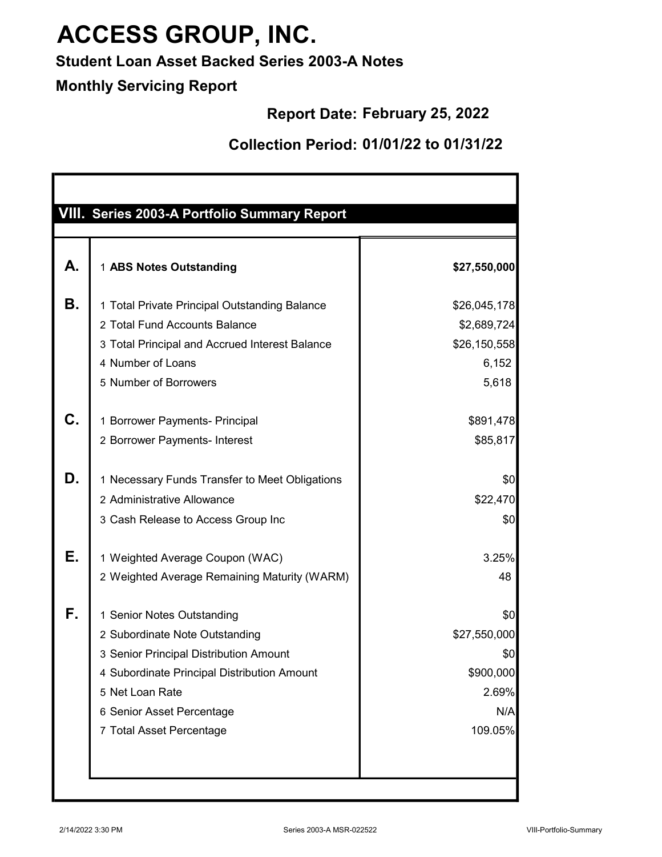## Student Loan Asset Backed Series 2003-A Notes

## Monthly Servicing Report

## Report Date: February 25, 2022

| VIII. Series 2003-A Portfolio Summary Report<br>1 ABS Notes Outstanding<br>1 Total Private Principal Outstanding Balance<br>2 Total Fund Accounts Balance | \$27,550,000<br>\$26,045,178 |
|-----------------------------------------------------------------------------------------------------------------------------------------------------------|------------------------------|
|                                                                                                                                                           |                              |
|                                                                                                                                                           |                              |
|                                                                                                                                                           | \$2,689,724                  |
| 3 Total Principal and Accrued Interest Balance                                                                                                            | \$26,150,558                 |
| 4 Number of Loans                                                                                                                                         | 6,152                        |
| 5 Number of Borrowers                                                                                                                                     | 5,618                        |
| 1 Borrower Payments- Principal                                                                                                                            | \$891,478                    |
| 2 Borrower Payments- Interest                                                                                                                             | \$85,817                     |
| 1 Necessary Funds Transfer to Meet Obligations                                                                                                            | \$0                          |
| 2 Administrative Allowance                                                                                                                                | \$22,470                     |
| 3 Cash Release to Access Group Inc                                                                                                                        | \$0                          |
| 1 Weighted Average Coupon (WAC)                                                                                                                           | 3.25%                        |
| 2 Weighted Average Remaining Maturity (WARM)                                                                                                              | 48                           |
| 1 Senior Notes Outstanding                                                                                                                                | \$0                          |
| 2 Subordinate Note Outstanding                                                                                                                            | \$27,550,000                 |
| 3 Senior Principal Distribution Amount                                                                                                                    | \$0                          |
| 4 Subordinate Principal Distribution Amount                                                                                                               | \$900,000                    |
| 5 Net Loan Rate                                                                                                                                           | 2.69%                        |
| 6 Senior Asset Percentage                                                                                                                                 | N/A                          |
| 7 Total Asset Percentage                                                                                                                                  | 109.05%                      |
|                                                                                                                                                           |                              |